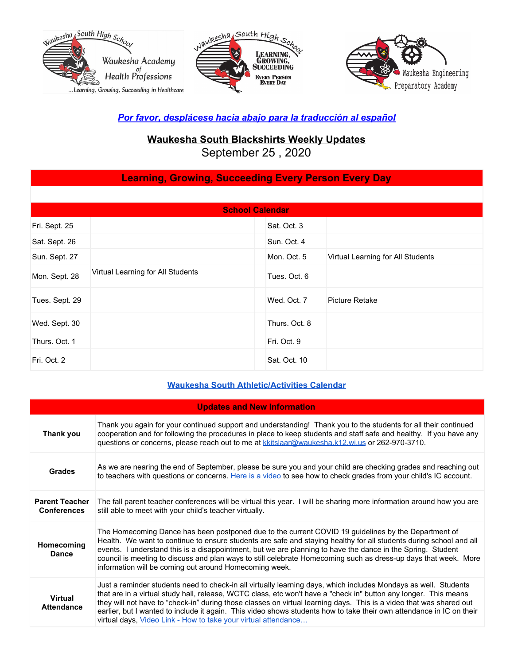





### *Por favor, desplácese hacia abajo para la traducción al español*

# **Waukesha South Blackshirts Weekly Updates**

September 25 , 2020

## **Learning, Growing, Succeeding Every Person Every Day**

| <b>School Calendar</b> |                                   |               |                                   |
|------------------------|-----------------------------------|---------------|-----------------------------------|
| Fri. Sept. 25          |                                   | Sat. Oct. 3   |                                   |
| Sat. Sept. 26          |                                   | Sun. Oct. 4   |                                   |
| Sun. Sept. 27          |                                   | Mon. Oct. 5   | Virtual Learning for All Students |
| Mon. Sept. 28          | Virtual Learning for All Students | Tues. Oct. 6  |                                   |
| Tues. Sept. 29         |                                   | Wed. Oct. 7   | <b>Picture Retake</b>             |
| Wed. Sept. 30          |                                   | Thurs. Oct. 8 |                                   |
| Thurs. Oct. 1          |                                   | Fri. Oct. 9   |                                   |
| Fri. Oct. 2            |                                   | Sat. Oct. 10  |                                   |

#### **Waukesha South [Athletic/Activities](https://goblackshirts.com/) Calendar**

| <b>Updates and New Information</b>          |                                                                                                                                                                                                                                                                                                                                                                                                                                                                                                                                                      |
|---------------------------------------------|------------------------------------------------------------------------------------------------------------------------------------------------------------------------------------------------------------------------------------------------------------------------------------------------------------------------------------------------------------------------------------------------------------------------------------------------------------------------------------------------------------------------------------------------------|
| Thank you                                   | Thank you again for your continued support and understanding! Thank you to the students for all their continued<br>cooperation and for following the procedures in place to keep students and staff safe and healthy. If you have any<br>questions or concerns, please reach out to me at kkitslaar@waukesha.k12.wi.us or 262-970-3710.                                                                                                                                                                                                              |
| <b>Grades</b>                               | As we are nearing the end of September, please be sure you and your child are checking grades and reaching out<br>to teachers with questions or concerns. Here is a video to see how to check grades from your child's IC account.                                                                                                                                                                                                                                                                                                                   |
| <b>Parent Teacher</b><br><b>Conferences</b> | The fall parent teacher conferences will be virtual this year. I will be sharing more information around how you are<br>still able to meet with your child's teacher virtually.                                                                                                                                                                                                                                                                                                                                                                      |
| Homecoming<br><b>Dance</b>                  | The Homecoming Dance has been postponed due to the current COVID 19 guidelines by the Department of<br>Health. We want to continue to ensure students are safe and staying healthy for all students during school and all<br>events. I understand this is a disappointment, but we are planning to have the dance in the Spring. Student<br>council is meeting to discuss and plan ways to still celebrate Homecoming such as dress-up days that week. More<br>information will be coming out around Homecoming week.                                |
| <b>Virtual</b><br><b>Attendance</b>         | Just a reminder students need to check-in all virtually learning days, which includes Mondays as well. Students<br>that are in a virtual study hall, release, WCTC class, etc won't have a "check in" button any longer. This means<br>they will not have to "check-in" during those classes on virtual learning days. This is a video that was shared out<br>earlier, but I wanted to include it again. This video shows students how to take their own attendance in IC on their<br>virtual days, Video Link - How to take your virtual attendance |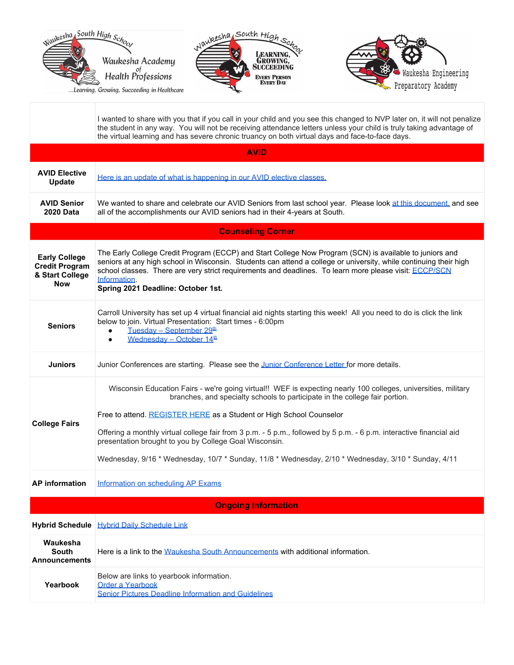

I wanted to share with you that if you call in your child and you see this changed to NVP later on, it will not penalize the student in any way. You will not be receiving attendance letters unless your child is truly taking advantage of the virtual learning and has severe chronic truancy on both virtual days and face-to-face days.

| <b>AVID</b>                                                                    |                                                                                                                                                                                                                                                                                                                                                                                                                                                                                                                                                              |
|--------------------------------------------------------------------------------|--------------------------------------------------------------------------------------------------------------------------------------------------------------------------------------------------------------------------------------------------------------------------------------------------------------------------------------------------------------------------------------------------------------------------------------------------------------------------------------------------------------------------------------------------------------|
| <b>AVID Elective</b><br><b>Update</b>                                          | Here is an update of what is happening in our AVID elective classes.                                                                                                                                                                                                                                                                                                                                                                                                                                                                                         |
| <b>AVID Senior</b><br><b>2020 Data</b>                                         | We wanted to share and celebrate our AVID Seniors from last school year. Please look at this document, and see<br>all of the accomplishments our AVID seniors had in their 4-years at South.                                                                                                                                                                                                                                                                                                                                                                 |
|                                                                                | <b>Counseling Corner</b>                                                                                                                                                                                                                                                                                                                                                                                                                                                                                                                                     |
| <b>Early College</b><br><b>Credit Program</b><br>& Start College<br><b>Now</b> | The Early College Credit Program (ECCP) and Start College Now Program (SCN) is available to juniors and<br>seniors at any high school in Wisconsin. Students can attend a college or university, while continuing their high<br>school classes. There are very strict requirements and deadlines. To learn more please visit: ECCP/SCN<br>Information.<br>Spring 2021 Deadline: October 1st.                                                                                                                                                                 |
| <b>Seniors</b>                                                                 | Carroll University has set up 4 virtual financial aid nights starting this week! All you need to do is click the link<br>below to join. Virtual Presentation: Start times - 6:00pm<br>Tuesday - September 29 <sup>th</sup><br>$\bullet$<br>Wednesday - October $14th$<br>$\bullet$                                                                                                                                                                                                                                                                           |
| <b>Juniors</b>                                                                 | Junior Conferences are starting. Please see the Junior Conference Letter for more details.                                                                                                                                                                                                                                                                                                                                                                                                                                                                   |
| <b>College Fairs</b>                                                           | Wisconsin Education Fairs - we're going virtual!! WEF is expecting nearly 100 colleges, universities, military<br>branches, and specialty schools to participate in the college fair portion.<br>Free to attend. REGISTER HERE as a Student or High School Counselor<br>Offering a monthly virtual college fair from 3 p.m. - 5 p.m., followed by 5 p.m. - 6 p.m. interactive financial aid<br>presentation brought to you by College Goal Wisconsin.<br>Wednesday, 9/16 * Wednesday, 10/7 * Sunday, 11/8 * Wednesday, 2/10 * Wednesday, 3/10 * Sunday, 4/11 |
| <b>AP</b> information                                                          | Information on scheduling AP Exams                                                                                                                                                                                                                                                                                                                                                                                                                                                                                                                           |
|                                                                                | <b>Ongoing Information</b>                                                                                                                                                                                                                                                                                                                                                                                                                                                                                                                                   |
|                                                                                | Hybrid Schedule Hybrid Daily Schedule Link                                                                                                                                                                                                                                                                                                                                                                                                                                                                                                                   |
| Waukesha<br><b>South</b><br><b>Announcements</b>                               | Here is a link to the Waukesha South Announcements with additional information.                                                                                                                                                                                                                                                                                                                                                                                                                                                                              |
| Yearbook                                                                       | Below are links to yearbook information.<br><b>Order a Yearbook</b><br><b>Senior Pictures Deadline Information and Guidelines</b>                                                                                                                                                                                                                                                                                                                                                                                                                            |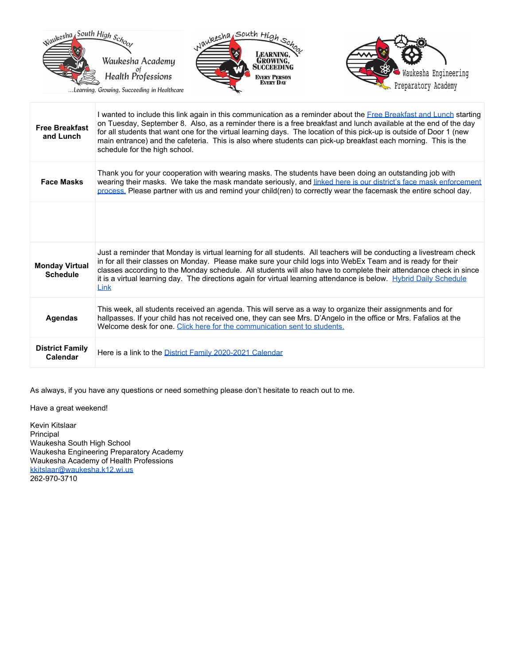

...Learning, Growing, Succeeding in Healthcare





| <b>Free Breakfast</b><br>and Lunch       | I wanted to include this link again in this communication as a reminder about the Free Breakfast and Lunch starting<br>on Tuesday, September 8. Also, as a reminder there is a free breakfast and lunch available at the end of the day<br>for all students that want one for the virtual learning days. The location of this pick-up is outside of Door 1 (new<br>main entrance) and the cafeteria. This is also where students can pick-up breakfast each morning. This is the<br>schedule for the high school. |
|------------------------------------------|-------------------------------------------------------------------------------------------------------------------------------------------------------------------------------------------------------------------------------------------------------------------------------------------------------------------------------------------------------------------------------------------------------------------------------------------------------------------------------------------------------------------|
| <b>Face Masks</b>                        | Thank you for your cooperation with wearing masks. The students have been doing an outstanding job with<br>wearing their masks. We take the mask mandate seriously, and linked here is our district's face mask enforcement<br>process. Please partner with us and remind your child(ren) to correctly wear the facemask the entire school day.                                                                                                                                                                   |
|                                          |                                                                                                                                                                                                                                                                                                                                                                                                                                                                                                                   |
| <b>Monday Virtual</b><br><b>Schedule</b> | Just a reminder that Monday is virtual learning for all students. All teachers will be conducting a livestream check<br>in for all their classes on Monday. Please make sure your child logs into WebEx Team and is ready for their<br>classes according to the Monday schedule. All students will also have to complete their attendance check in since<br>it is a virtual learning day. The directions again for virtual learning attendance is below. Hybrid Daily Schedule<br>Link                            |
| <b>Agendas</b>                           | This week, all students received an agenda. This will serve as a way to organize their assignments and for<br>hallpasses. If your child has not received one, they can see Mrs. D'Angelo in the office or Mrs. Fafalios at the<br>Welcome desk for one. Click here for the communication sent to students.                                                                                                                                                                                                        |
| <b>District Family</b><br>Calendar       | Here is a link to the District Family 2020-2021 Calendar                                                                                                                                                                                                                                                                                                                                                                                                                                                          |

As always, if you have any questions or need something please don't hesitate to reach out to me.

Have a great weekend!

Kevin Kitslaar Principal Waukesha South High School Waukesha Engineering Preparatory Academy Waukesha Academy of Health Professions [kkitslaar@waukesha.k12.wi.us](mailto:kkitslaar@waukesha.k12.wi.us) 262-970-3710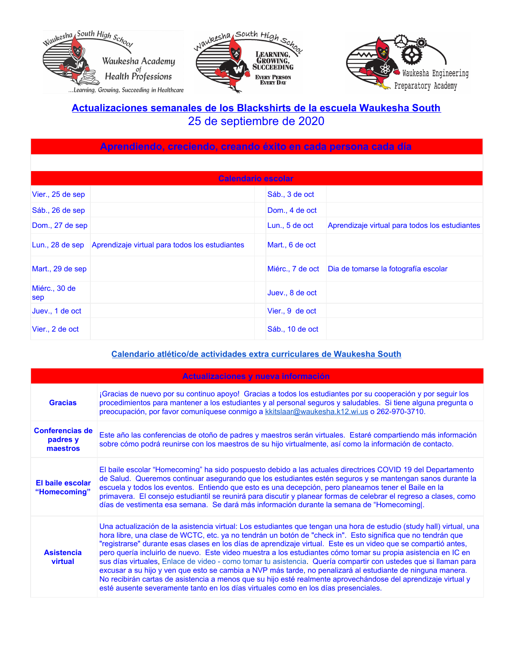





## **Actualizaciones semanales de los Blackshirts de la escuela Waukesha South** 25 de septiembre de 2020

| Aprendiendo, creciendo, creando éxito en cada persona cada día |                                                |                  |                                                |
|----------------------------------------------------------------|------------------------------------------------|------------------|------------------------------------------------|
|                                                                |                                                |                  |                                                |
| Calendario escolar                                             |                                                |                  |                                                |
| Vier., 25 de sep                                               |                                                | Sáb., 3 de oct   |                                                |
| Sáb., 26 de sep                                                |                                                | Dom., 4 de oct   |                                                |
| Dom., 27 de sep                                                |                                                | Lun., 5 de oct   | Aprendizaje virtual para todos los estudiantes |
| Lun., $28$ de sep                                              | Aprendizaje virtual para todos los estudiantes | Mart., 6 de oct  |                                                |
| Mart., 29 de sep                                               |                                                | Miérc., 7 de oct | Dia de tomarse la fotografía escolar           |
| Miérc., 30 de<br>sep                                           |                                                | Juev., 8 de oct  |                                                |
| Juev., 1 de oct                                                |                                                | Vier., 9 de oct  |                                                |
| Vier., 2 de oct                                                |                                                | Sáb., 10 de oct  |                                                |

#### **Calendario atlético/de actividades extra [curriculares](https://goblackshirts.com/) de Waukesha South**

| Actualizaciones y nueva información            |                                                                                                                                                                                                                                                                                                                                                                                                                                                                                                                                                                                                                                                                                                                                                                                                                                                                                                                 |
|------------------------------------------------|-----------------------------------------------------------------------------------------------------------------------------------------------------------------------------------------------------------------------------------------------------------------------------------------------------------------------------------------------------------------------------------------------------------------------------------------------------------------------------------------------------------------------------------------------------------------------------------------------------------------------------------------------------------------------------------------------------------------------------------------------------------------------------------------------------------------------------------------------------------------------------------------------------------------|
| <b>Gracias</b>                                 | ¡Gracias de nuevo por su continuo apoyo! Gracias a todos los estudiantes por su cooperación y por seguir los<br>procedimientos para mantener a los estudiantes y al personal seguros y saludables. Si tiene alguna pregunta o<br>preocupación, por favor comuníquese conmigo a kkitslaar@waukesha.k12.wi.us o 262-970-3710.                                                                                                                                                                                                                                                                                                                                                                                                                                                                                                                                                                                     |
| <b>Conferencias de</b><br>padres y<br>maestros | Este año las conferencias de otoño de padres y maestros serán virtuales. Estaré compartiendo más información<br>sobre cómo podrá reunirse con los maestros de su hijo virtualmente, así como la información de contacto.                                                                                                                                                                                                                                                                                                                                                                                                                                                                                                                                                                                                                                                                                        |
| El baile escolar<br>"Homecoming"               | El baile escolar "Homecoming" ha sido pospuesto debido a las actuales directrices COVID 19 del Departamento<br>de Salud. Queremos continuar asegurando que los estudiantes estén seguros y se mantengan sanos durante la<br>escuela y todos los eventos. Entiendo que esto es una decepción, pero planeamos tener el Baile en la<br>primavera. El consejo estudiantil se reunirá para discutir y planear formas de celebrar el regreso a clases, como<br>días de vestimenta esa semana. Se dará más información durante la semana de "Homecomingl.                                                                                                                                                                                                                                                                                                                                                              |
| <b>Asistencia</b><br>virtual                   | Una actualización de la asistencia virtual: Los estudiantes que tengan una hora de estudio (study hall) virtual, una<br>hora libre, una clase de WCTC, etc. ya no tendrán un botón de "check in". Esto significa que no tendrán que<br>"registrarse" durante esas clases en los días de aprendizaje virtual. Este es un video que se compartió antes,<br>pero quería incluirlo de nuevo. Este video muestra a los estudiantes cómo tomar su propia asistencia en IC en<br>sus días virtuales, Enlace de video - como tomar tu asistencia. Quería compartir con ustedes que si llaman para<br>excusar a su hijo y ven que esto se cambia a NVP más tarde, no penalizará al estudiante de ninguna manera.<br>No recibirán cartas de asistencia a menos que su hijo esté realmente aprovechándose del aprendizaje virtual y<br>esté ausente severamente tanto en los días virtuales como en los días presenciales. |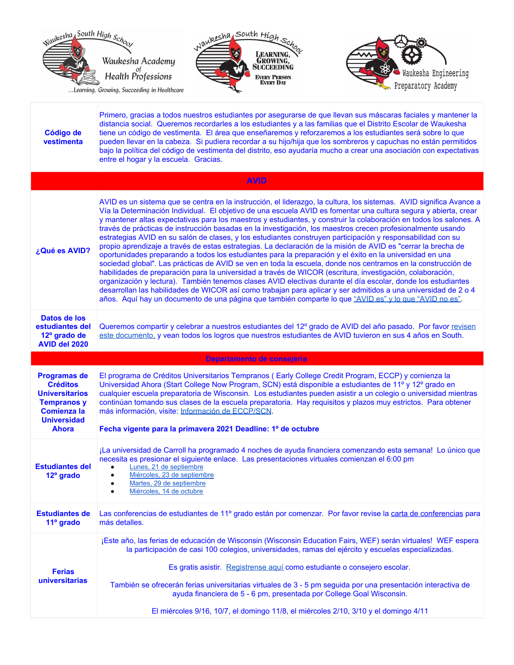

...Learning, Growing, Succeeding in Healthcare





| Código de<br>vestimenta                                                                                                                           | Primero, gracias a todos nuestros estudiantes por asegurarse de que llevan sus máscaras faciales y mantener la<br>distancia social. Queremos recordarles a los estudiantes y a las familias que el Distrito Escolar de Waukesha<br>tiene un código de vestimenta. El área que enseñaremos y reforzaremos a los estudiantes será sobre lo que<br>pueden llevar en la cabeza. Si pudiera recordar a su hijo/hija que los sombreros y capuchas no están permitidos<br>bajo la política del código de vestimenta del distrito, eso ayudaría mucho a crear una asociación con expectativas<br>entre el hogar y la escuela. Gracias.                                                                                                                                                                                                                                                                                                                                                                                                                                                                                                                                                                                                                                                                                                                                                                    |
|---------------------------------------------------------------------------------------------------------------------------------------------------|---------------------------------------------------------------------------------------------------------------------------------------------------------------------------------------------------------------------------------------------------------------------------------------------------------------------------------------------------------------------------------------------------------------------------------------------------------------------------------------------------------------------------------------------------------------------------------------------------------------------------------------------------------------------------------------------------------------------------------------------------------------------------------------------------------------------------------------------------------------------------------------------------------------------------------------------------------------------------------------------------------------------------------------------------------------------------------------------------------------------------------------------------------------------------------------------------------------------------------------------------------------------------------------------------------------------------------------------------------------------------------------------------|
|                                                                                                                                                   | <b>AVID</b>                                                                                                                                                                                                                                                                                                                                                                                                                                                                                                                                                                                                                                                                                                                                                                                                                                                                                                                                                                                                                                                                                                                                                                                                                                                                                                                                                                                       |
| ¿Qué es AVID?                                                                                                                                     | AVID es un sistema que se centra en la instrucción, el liderazgo, la cultura, los sistemas. AVID significa Avance a<br>Vía la Determinación Individual. El objetivo de una escuela AVID es fomentar una cultura segura y abierta, crear<br>y mantener altas expectativas para los maestros y estudiantes, y construir la colaboración en todos los salones. A<br>través de prácticas de instrucción basadas en la investigación, los maestros crecen profesionalmente usando<br>estrategias AVID en su salón de clases, y los estudiantes construyen participación y responsabilidad con su<br>propio aprendizaje a través de estas estrategias. La declaración de la misión de AVID es "cerrar la brecha de<br>oportunidades preparando a todos los estudiantes para la preparación y el éxito en la universidad en una<br>sociedad global". Las prácticas de AVID se ven en toda la escuela, donde nos centramos en la construcción de<br>habilidades de preparación para la universidad a través de WICOR (escritura, investigación, colaboración,<br>organización y lectura). También tenemos clases AVID electivas durante el día escolar, donde los estudiantes<br>desarrollan las habilidades de WICOR así como trabajan para aplicar y ser admitidos a una universidad de 2 o 4<br>años. Aquí hay un documento de una página que también comparte lo que "AVID es" y lo que "AVID no es". |
| Datos de los<br>estudiantes del<br>12º grado de<br>AVID del 2020                                                                                  | Queremos compartir y celebrar a nuestros estudiantes del 12º grado de AVID del año pasado. Por favor revisen<br>este documento, y vean todos los logros que nuestros estudiantes de AVID tuvieron en sus 4 años en South.                                                                                                                                                                                                                                                                                                                                                                                                                                                                                                                                                                                                                                                                                                                                                                                                                                                                                                                                                                                                                                                                                                                                                                         |
|                                                                                                                                                   | Departamento de consejería                                                                                                                                                                                                                                                                                                                                                                                                                                                                                                                                                                                                                                                                                                                                                                                                                                                                                                                                                                                                                                                                                                                                                                                                                                                                                                                                                                        |
| <b>Programas de</b><br><b>Créditos</b><br><b>Universitarios</b><br><b>Tempranos y</b><br><b>Comienza la</b><br><b>Universidad</b><br><b>Ahora</b> | El programa de Créditos Universitarios Tempranos (Early College Credit Program, ECCP) y comienza la<br>Universidad Ahora (Start College Now Program, SCN) está disponible a estudiantes de 11º y 12º grado en<br>cualquier escuela preparatoria de Wisconsin. Los estudiantes pueden asistir a un colegio o universidad mientras<br>continúan tomando sus clases de la escuela preparatoria. Hay requisitos y plazos muy estrictos. Para obtener<br>más información, visite: Información de ECCP/SCN.<br>Fecha vigente para la primavera 2021 Deadline: 1º de octubre                                                                                                                                                                                                                                                                                                                                                                                                                                                                                                                                                                                                                                                                                                                                                                                                                             |
| <b>Estudiantes del</b><br>12 <sup>°</sup> grado                                                                                                   | ¡La universidad de Carroll ha programado 4 noches de ayuda financiera comenzando esta semana! Lo único que<br>necesita es presionar el siguiente enlace. Las presentaciones virtuales comienzan el 6:00 pm<br>Lunes, 21 de septiembre<br>Miércoles, 23 de septiembre<br>Martes, 29 de septiembre<br>$\bullet$<br>Miércoles, 14 de octubre                                                                                                                                                                                                                                                                                                                                                                                                                                                                                                                                                                                                                                                                                                                                                                                                                                                                                                                                                                                                                                                         |
| <b>Estudiantes de</b><br>11º grado                                                                                                                | Las conferencias de estudiantes de 11º grado están por comenzar. Por favor revise la carta de conferencias para<br>más detalles.                                                                                                                                                                                                                                                                                                                                                                                                                                                                                                                                                                                                                                                                                                                                                                                                                                                                                                                                                                                                                                                                                                                                                                                                                                                                  |
|                                                                                                                                                   | ¡Este año, las ferias de educación de Wisconsin (Wisconsin Education Fairs, WEF) serán virtuales! WEF espera<br>la participación de casi 100 colegios, universidades, ramas del ejército y escuelas especializadas.                                                                                                                                                                                                                                                                                                                                                                                                                                                                                                                                                                                                                                                                                                                                                                                                                                                                                                                                                                                                                                                                                                                                                                               |
| <b>Ferias</b>                                                                                                                                     | Es gratis asistir. Registrense aquí como estudiante o consejero escolar.                                                                                                                                                                                                                                                                                                                                                                                                                                                                                                                                                                                                                                                                                                                                                                                                                                                                                                                                                                                                                                                                                                                                                                                                                                                                                                                          |
| universitarias                                                                                                                                    | También se ofrecerán ferias universitarias virtuales de 3 - 5 pm seguida por una presentación interactiva de<br>ayuda financiera de 5 - 6 pm, presentada por College Goal Wisconsin.                                                                                                                                                                                                                                                                                                                                                                                                                                                                                                                                                                                                                                                                                                                                                                                                                                                                                                                                                                                                                                                                                                                                                                                                              |
|                                                                                                                                                   | El miércoles 9/16, 10/7, el domingo 11/8, el miércoles 2/10, 3/10 y el domingo 4/11                                                                                                                                                                                                                                                                                                                                                                                                                                                                                                                                                                                                                                                                                                                                                                                                                                                                                                                                                                                                                                                                                                                                                                                                                                                                                                               |